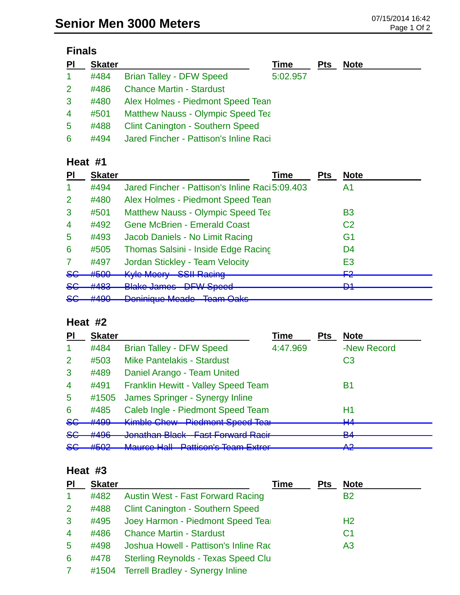| $\overline{P}$ | <b>Skater</b> |                                          | Time     | <b>Pts</b> | <b>Note</b> |
|----------------|---------------|------------------------------------------|----------|------------|-------------|
| $\mathbf{1}$   | #484          | <b>Brian Talley - DFW Speed</b>          | 5:02.957 |            |             |
| $\overline{2}$ | #486          | <b>Chance Martin - Stardust</b>          |          |            |             |
| 3              | #480          | Alex Holmes - Piedmont Speed Tean        |          |            |             |
| 4              | #501          | <b>Matthew Nauss - Olympic Speed Tea</b> |          |            |             |
| 5              | #488          | <b>Clint Canington - Southern Speed</b>  |          |            |             |
| 6              | #494          | Jared Fincher - Pattison's Inline Raci   |          |            |             |

## **Heat #1**

| PI              | <b>Skater</b>            | Time                                                                        | <b>Pts</b> | <b>Note</b>         |
|-----------------|--------------------------|-----------------------------------------------------------------------------|------------|---------------------|
|                 | #494                     | Jared Fincher - Pattison's Inline Raci 5:09.403                             |            | A1                  |
| 2               | #480                     | Alex Holmes - Piedmont Speed Tean                                           |            |                     |
| 3               | #501                     | <b>Matthew Nauss - Olympic Speed Tea</b>                                    |            | B <sub>3</sub>      |
| $\overline{4}$  | #492                     | <b>Gene McBrien - Emerald Coast</b>                                         |            | C <sub>2</sub>      |
| 5               | #493                     | Jacob Daniels - No Limit Racing                                             |            | G <sub>1</sub>      |
| 6               | #505                     | Thomas Salsini - Inside Edge Racing                                         |            | D4                  |
|                 | #497                     | Jordan Stickley - Team Velocity                                             |            | E <sub>3</sub>      |
| <del>SG</del>   | #500                     | Kylo Moory CCII Dooing<br><b>UUILI YAUIHY</b><br><b>TYTU IVIOUTY</b>        |            | ⊏ว<br>┲             |
| <del>SG</del>   | HAO2<br><del>11400</del> | <b>Plake James DEW Coood</b><br><u>DI W Opoca</u><br><del>Diano Jamoo</del> |            | D <sub>1</sub><br>▱ |
| <u>ے۔</u><br>ᢦᢦ | HAOO<br><del>#490</del>  | <b>Doninique Meade Team Oaks</b>                                            |            |                     |

### **Heat #2**

| <b>PI</b>      | <b>Skater</b>                    |                                                                                           | Time     | <b>Pts</b> | <b>Note</b> |
|----------------|----------------------------------|-------------------------------------------------------------------------------------------|----------|------------|-------------|
| -1             | #484                             | <b>Brian Talley - DFW Speed</b>                                                           | 4:47.969 |            | -New Record |
| $\overline{2}$ | #503                             | <b>Mike Pantelakis - Stardust</b>                                                         |          |            | C3          |
| 3              | #489                             | Daniel Arango - Team United                                                               |          |            |             |
| $\overline{4}$ | #491                             | <b>Franklin Hewitt - Valley Speed Team</b>                                                |          |            | Β1          |
| $\overline{5}$ | #1505                            | James Springer - Synergy Inline                                                           |          |            |             |
| 6              | #485                             | Caleb Ingle - Piedmont Speed Team                                                         |          |            | H1          |
| $86$           | #499                             | Kimble Chew Piedmont Speed Tear                                                           |          |            | பு<br>┯┯    |
| <del>SG</del>  | #496                             | <b>Jonathan Plack East Earword Pacir</b><br><u>UNITERNATIV IN PIENTIN</u>                 |          |            | D A<br>▱    |
| <del>SG</del>  | $H E \cap \Omega$<br><b>HUUZ</b> | Mouron Holl Dotticon's Toom Extrar<br><del>mauroo naii</del><br><u>amovn o Tvam Extru</u> |          |            | Λ0.<br>TŒ   |

#### **Heat #3**

| PI             | <b>Skater</b> |                                            | <b>Time</b> | <b>Pts</b> | <b>Note</b>    |
|----------------|---------------|--------------------------------------------|-------------|------------|----------------|
| 1              | #482          | <b>Austin West - Fast Forward Racing</b>   |             |            | <b>B2</b>      |
| 2              | #488          | <b>Clint Canington - Southern Speed</b>    |             |            |                |
| 3              | #495          | Joey Harmon - Piedmont Speed Tear          |             |            | H <sub>2</sub> |
| $\overline{4}$ | #486          | <b>Chance Martin - Stardust</b>            |             |            | C <sub>1</sub> |
| 5              | #498          | Joshua Howell - Pattison's Inline Rac      |             |            | A <sub>3</sub> |
| 6              | #478          | <b>Sterling Reynolds - Texas Speed Clu</b> |             |            |                |
| $\mathbf{7}$   | #1504         | <b>Terrell Bradley - Synergy Inline</b>    |             |            |                |